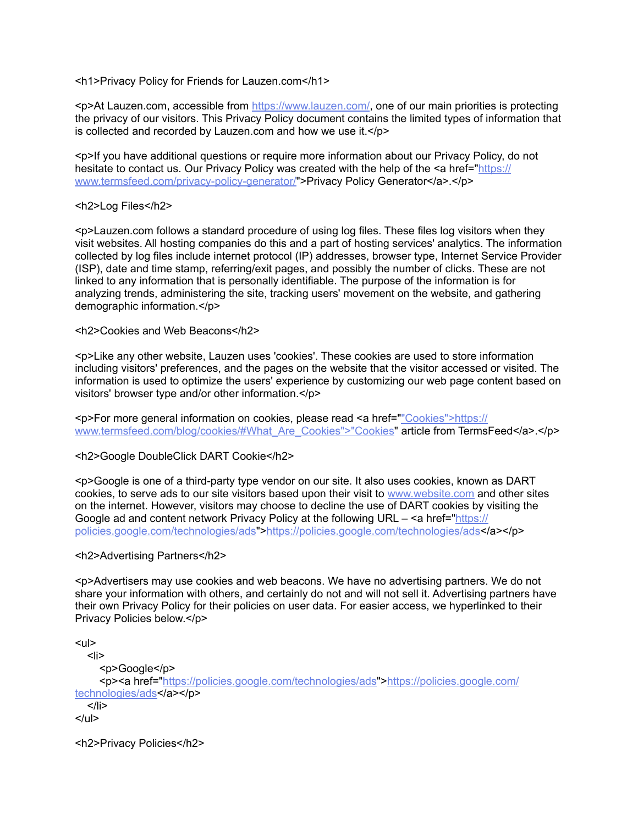<h1>Privacy Policy for Friends for Lauzen.com</h1>

<p>At Lauzen.com, accessible from <https://www.lauzen.com/>, one of our main priorities is protecting the privacy of our visitors. This Privacy Policy document contains the limited types of information that is collected and recorded by Lauzen.com and how we use it.</p>

<p>If you have additional questions or require more information about our Privacy Policy, do not hesitate to contact us. Our Privacy Policy was created with the help of the <a href=["https://](https://www.termsfeed.com/privacy-policy-generator/) [www.termsfeed.com/privacy-policy-generator/](https://www.termsfeed.com/privacy-policy-generator/)">Privacy Policy Generator</a>.</p>

# <h2>Log Files</h2>

<p>Lauzen.com follows a standard procedure of using log files. These files log visitors when they visit websites. All hosting companies do this and a part of hosting services' analytics. The information collected by log files include internet protocol (IP) addresses, browser type, Internet Service Provider (ISP), date and time stamp, referring/exit pages, and possibly the number of clicks. These are not linked to any information that is personally identifiable. The purpose of the information is for analyzing trends, administering the site, tracking users' movement on the website, and gathering demographic information.</p>

<h2>Cookies and Web Beacons</h2>

<p>Like any other website, Lauzen uses 'cookies'. These cookies are used to store information including visitors' preferences, and the pages on the website that the visitor accessed or visited. The information is used to optimize the users' experience by customizing our web page content based on visitors' browser type and/or other information.</p>

<p>For more general information on cookies, please read <a href=[""Cookies">https://](https://www.termsfeed.com/blog/cookies/#What_Are_Cookies) [www.termsfeed.com/blog/cookies/#What\\_Are\\_Cookies">"Cookies"](https://www.termsfeed.com/blog/cookies/#What_Are_Cookies) article from TermsFeed</a>.</p>

<h2>Google DoubleClick DART Cookie</h2>

<p>Google is one of a third-party type vendor on our site. It also uses cookies, known as DART cookies, to serve ads to our site visitors based upon their visit to [www.website.com](http://www.website.com/) and other sites on the internet. However, visitors may choose to decline the use of DART cookies by visiting the Google ad and content network Privacy Policy at the following URL – <a href=["https://](https://policies.google.com/technologies/ads) [policies.google.com/technologies/ads"](https://policies.google.com/technologies/ads)><https://policies.google.com/technologies/ads></a></p>

<h2>Advertising Partners</h2>

<p>Advertisers may use cookies and web beacons. We have no advertising partners. We do not share your information with others, and certainly do not and will not sell it. Advertising partners have their own Privacy Policy for their policies on user data. For easier access, we hyperlinked to their Privacy Policies below.</p>

 $<sub>ul</sub>$ </sub>  $<$ li $>$  <p>Google</p> <p><a href=["https://policies.google.com/technologies/ads"](https://policies.google.com/technologies/ads)>[https://policies.google.com/](https://policies.google.com/technologies/ads) [technologies/ads<](https://policies.google.com/technologies/ads)/a></p>  $<$ /li $>$  $<$ /ul $>$ 

<h2>Privacy Policies</h2>